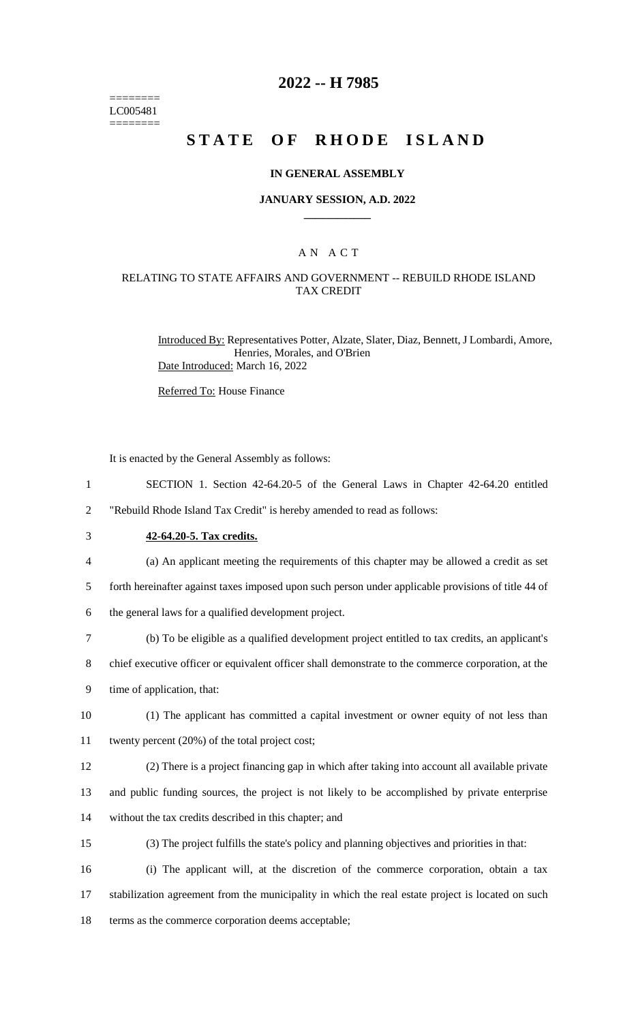======== LC005481 ========

# **2022 -- H 7985**

# **STATE OF RHODE ISLAND**

#### **IN GENERAL ASSEMBLY**

#### **JANUARY SESSION, A.D. 2022 \_\_\_\_\_\_\_\_\_\_\_\_**

### A N A C T

### RELATING TO STATE AFFAIRS AND GOVERNMENT -- REBUILD RHODE ISLAND TAX CREDIT

Introduced By: Representatives Potter, Alzate, Slater, Diaz, Bennett, J Lombardi, Amore, Henries, Morales, and O'Brien Date Introduced: March 16, 2022

Referred To: House Finance

It is enacted by the General Assembly as follows:

1 SECTION 1. Section 42-64.20-5 of the General Laws in Chapter 42-64.20 entitled

2 "Rebuild Rhode Island Tax Credit" is hereby amended to read as follows:

- 3 **42-64.20-5. Tax credits.**
- 4 (a) An applicant meeting the requirements of this chapter may be allowed a credit as set

5 forth hereinafter against taxes imposed upon such person under applicable provisions of title 44 of

6 the general laws for a qualified development project.

7 (b) To be eligible as a qualified development project entitled to tax credits, an applicant's

8 chief executive officer or equivalent officer shall demonstrate to the commerce corporation, at the

9 time of application, that:

- 10 (1) The applicant has committed a capital investment or owner equity of not less than 11 twenty percent (20%) of the total project cost;
- 12 (2) There is a project financing gap in which after taking into account all available private

13 and public funding sources, the project is not likely to be accomplished by private enterprise 14 without the tax credits described in this chapter; and

15 (3) The project fulfills the state's policy and planning objectives and priorities in that:

16 (i) The applicant will, at the discretion of the commerce corporation, obtain a tax 17 stabilization agreement from the municipality in which the real estate project is located on such 18 terms as the commerce corporation deems acceptable;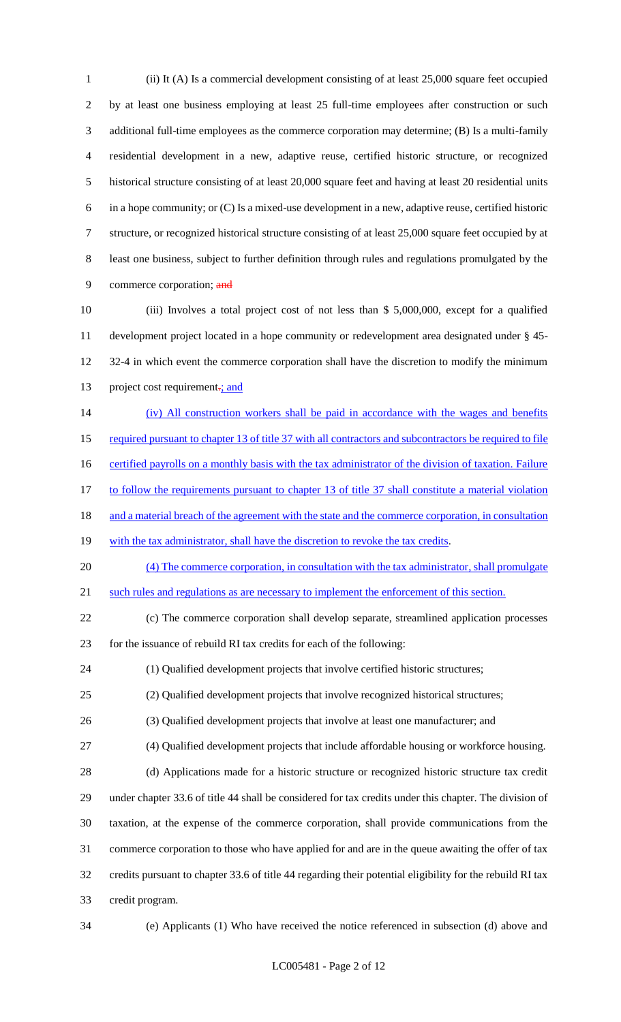(ii) It (A) Is a commercial development consisting of at least 25,000 square feet occupied by at least one business employing at least 25 full-time employees after construction or such additional full-time employees as the commerce corporation may determine; (B) Is a multi-family residential development in a new, adaptive reuse, certified historic structure, or recognized historical structure consisting of at least 20,000 square feet and having at least 20 residential units in a hope community; or (C) Is a mixed-use development in a new, adaptive reuse, certified historic structure, or recognized historical structure consisting of at least 25,000 square feet occupied by at least one business, subject to further definition through rules and regulations promulgated by the 9 commerce corporation; and

 (iii) Involves a total project cost of not less than \$ 5,000,000, except for a qualified development project located in a hope community or redevelopment area designated under § 45- 12 32-4 in which event the commerce corporation shall have the discretion to modify the minimum 13 project cost requirement<sub>-</sub>; and

14 (iv) All construction workers shall be paid in accordance with the wages and benefits 15 required pursuant to chapter 13 of title 37 with all contractors and subcontractors be required to file 16 certified payrolls on a monthly basis with the tax administrator of the division of taxation. Failure 17 to follow the requirements pursuant to chapter 13 of title 37 shall constitute a material violation 18 and a material breach of the agreement with the state and the commerce corporation, in consultation 19 with the tax administrator, shall have the discretion to revoke the tax credits. 20 (4) The commerce corporation, in consultation with the tax administrator, shall promulgate 21 such rules and regulations as are necessary to implement the enforcement of this section.

 (c) The commerce corporation shall develop separate, streamlined application processes for the issuance of rebuild RI tax credits for each of the following:

(1) Qualified development projects that involve certified historic structures;

- (2) Qualified development projects that involve recognized historical structures;
- (3) Qualified development projects that involve at least one manufacturer; and

(4) Qualified development projects that include affordable housing or workforce housing.

 (d) Applications made for a historic structure or recognized historic structure tax credit under chapter 33.6 of title 44 shall be considered for tax credits under this chapter. The division of taxation, at the expense of the commerce corporation, shall provide communications from the commerce corporation to those who have applied for and are in the queue awaiting the offer of tax credits pursuant to chapter 33.6 of title 44 regarding their potential eligibility for the rebuild RI tax credit program.

(e) Applicants (1) Who have received the notice referenced in subsection (d) above and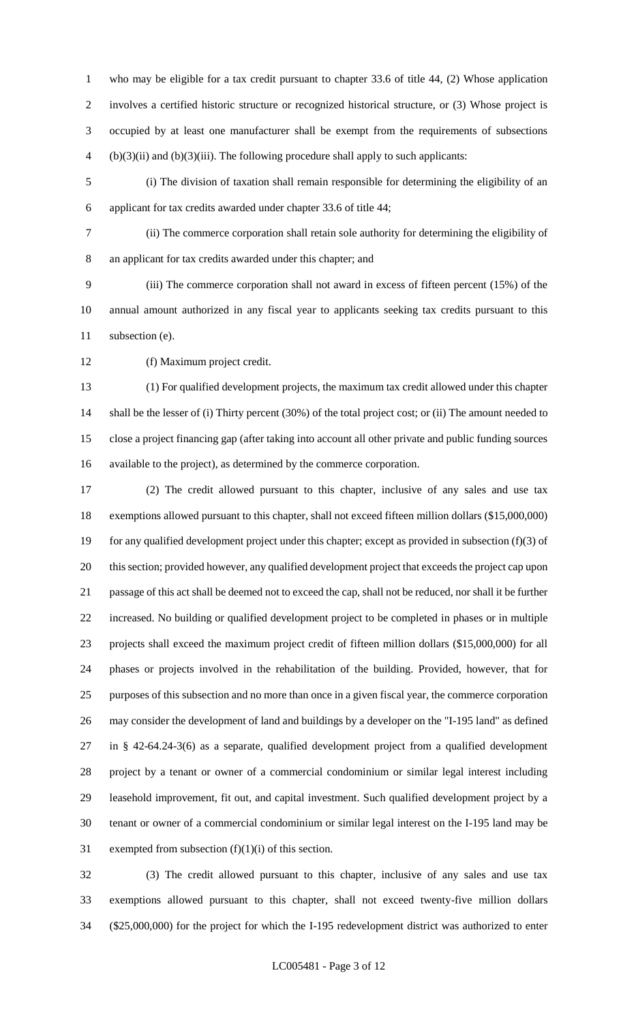who may be eligible for a tax credit pursuant to chapter 33.6 of title 44, (2) Whose application involves a certified historic structure or recognized historical structure, or (3) Whose project is occupied by at least one manufacturer shall be exempt from the requirements of subsections (b)(3)(ii) and (b)(3)(iii). The following procedure shall apply to such applicants:

 (i) The division of taxation shall remain responsible for determining the eligibility of an applicant for tax credits awarded under chapter 33.6 of title 44;

 (ii) The commerce corporation shall retain sole authority for determining the eligibility of an applicant for tax credits awarded under this chapter; and

 (iii) The commerce corporation shall not award in excess of fifteen percent (15%) of the annual amount authorized in any fiscal year to applicants seeking tax credits pursuant to this 11 subsection (e).

(f) Maximum project credit.

 (1) For qualified development projects, the maximum tax credit allowed under this chapter shall be the lesser of (i) Thirty percent (30%) of the total project cost; or (ii) The amount needed to close a project financing gap (after taking into account all other private and public funding sources available to the project), as determined by the commerce corporation.

 (2) The credit allowed pursuant to this chapter, inclusive of any sales and use tax exemptions allowed pursuant to this chapter, shall not exceed fifteen million dollars (\$15,000,000) for any qualified development project under this chapter; except as provided in subsection (f)(3) of this section; provided however, any qualified development project that exceeds the project cap upon passage of this act shall be deemed not to exceed the cap, shall not be reduced, nor shall it be further increased. No building or qualified development project to be completed in phases or in multiple projects shall exceed the maximum project credit of fifteen million dollars (\$15,000,000) for all phases or projects involved in the rehabilitation of the building. Provided, however, that for purposes of this subsection and no more than once in a given fiscal year, the commerce corporation may consider the development of land and buildings by a developer on the "I-195 land" as defined in § 42-64.24-3(6) as a separate, qualified development project from a qualified development project by a tenant or owner of a commercial condominium or similar legal interest including leasehold improvement, fit out, and capital investment. Such qualified development project by a tenant or owner of a commercial condominium or similar legal interest on the I-195 land may be 31 exempted from subsection  $(f)(1)(i)$  of this section.

 (3) The credit allowed pursuant to this chapter, inclusive of any sales and use tax exemptions allowed pursuant to this chapter, shall not exceed twenty-five million dollars (\$25,000,000) for the project for which the I-195 redevelopment district was authorized to enter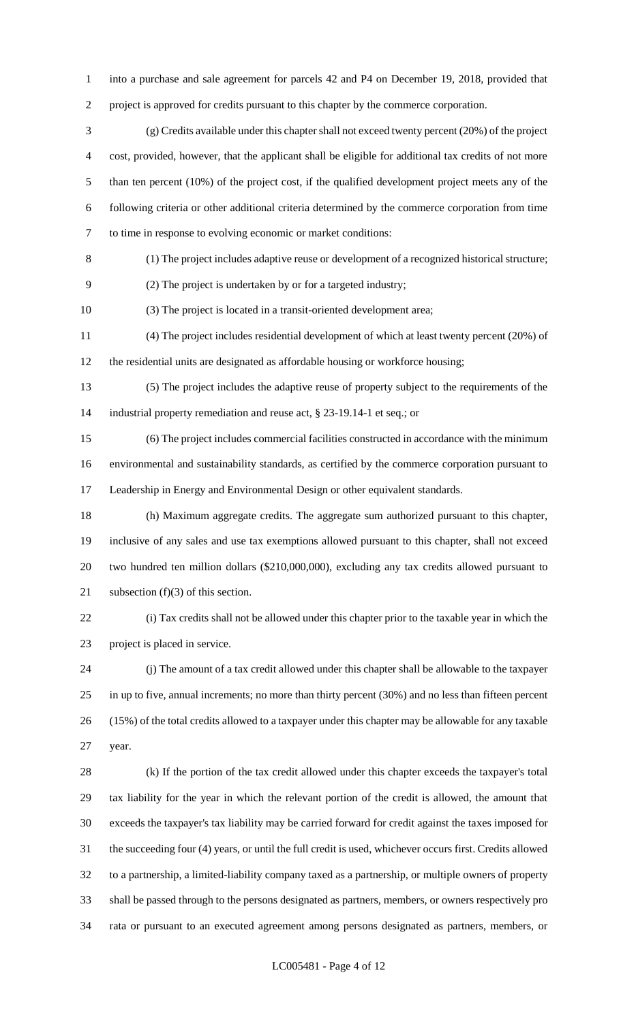into a purchase and sale agreement for parcels 42 and P4 on December 19, 2018, provided that

project is approved for credits pursuant to this chapter by the commerce corporation.

 (g) Credits available under this chapter shall not exceed twenty percent (20%) of the project cost, provided, however, that the applicant shall be eligible for additional tax credits of not more than ten percent (10%) of the project cost, if the qualified development project meets any of the following criteria or other additional criteria determined by the commerce corporation from time to time in response to evolving economic or market conditions:

(1) The project includes adaptive reuse or development of a recognized historical structure;

(2) The project is undertaken by or for a targeted industry;

(3) The project is located in a transit-oriented development area;

 (4) The project includes residential development of which at least twenty percent (20%) of the residential units are designated as affordable housing or workforce housing;

 (5) The project includes the adaptive reuse of property subject to the requirements of the industrial property remediation and reuse act, § 23-19.14-1 et seq.; or

 (6) The project includes commercial facilities constructed in accordance with the minimum environmental and sustainability standards, as certified by the commerce corporation pursuant to Leadership in Energy and Environmental Design or other equivalent standards.

 (h) Maximum aggregate credits. The aggregate sum authorized pursuant to this chapter, inclusive of any sales and use tax exemptions allowed pursuant to this chapter, shall not exceed two hundred ten million dollars (\$210,000,000), excluding any tax credits allowed pursuant to 21 subsection (f)(3) of this section.

 (i) Tax credits shall not be allowed under this chapter prior to the taxable year in which the project is placed in service.

 (j) The amount of a tax credit allowed under this chapter shall be allowable to the taxpayer in up to five, annual increments; no more than thirty percent (30%) and no less than fifteen percent (15%) of the total credits allowed to a taxpayer under this chapter may be allowable for any taxable year.

 (k) If the portion of the tax credit allowed under this chapter exceeds the taxpayer's total tax liability for the year in which the relevant portion of the credit is allowed, the amount that exceeds the taxpayer's tax liability may be carried forward for credit against the taxes imposed for the succeeding four (4) years, or until the full credit is used, whichever occurs first. Credits allowed to a partnership, a limited-liability company taxed as a partnership, or multiple owners of property shall be passed through to the persons designated as partners, members, or owners respectively pro rata or pursuant to an executed agreement among persons designated as partners, members, or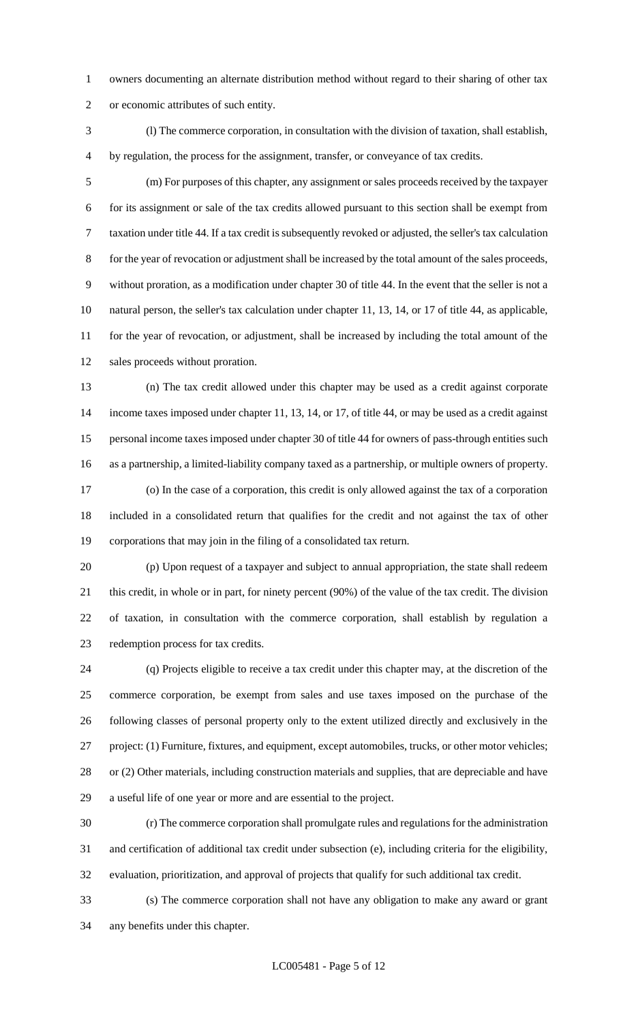owners documenting an alternate distribution method without regard to their sharing of other tax or economic attributes of such entity.

 (l) The commerce corporation, in consultation with the division of taxation, shall establish, by regulation, the process for the assignment, transfer, or conveyance of tax credits.

 (m) For purposes of this chapter, any assignment or sales proceeds received by the taxpayer for its assignment or sale of the tax credits allowed pursuant to this section shall be exempt from taxation under title 44. If a tax credit is subsequently revoked or adjusted, the seller's tax calculation for the year of revocation or adjustment shall be increased by the total amount of the sales proceeds, without proration, as a modification under chapter 30 of title 44. In the event that the seller is not a natural person, the seller's tax calculation under chapter 11, 13, 14, or 17 of title 44, as applicable, for the year of revocation, or adjustment, shall be increased by including the total amount of the sales proceeds without proration.

 (n) The tax credit allowed under this chapter may be used as a credit against corporate income taxes imposed under chapter 11, 13, 14, or 17, of title 44, or may be used as a credit against personal income taxes imposed under chapter 30 of title 44 for owners of pass-through entities such as a partnership, a limited-liability company taxed as a partnership, or multiple owners of property. (o) In the case of a corporation, this credit is only allowed against the tax of a corporation included in a consolidated return that qualifies for the credit and not against the tax of other corporations that may join in the filing of a consolidated tax return.

 (p) Upon request of a taxpayer and subject to annual appropriation, the state shall redeem this credit, in whole or in part, for ninety percent (90%) of the value of the tax credit. The division of taxation, in consultation with the commerce corporation, shall establish by regulation a redemption process for tax credits.

 (q) Projects eligible to receive a tax credit under this chapter may, at the discretion of the commerce corporation, be exempt from sales and use taxes imposed on the purchase of the following classes of personal property only to the extent utilized directly and exclusively in the project: (1) Furniture, fixtures, and equipment, except automobiles, trucks, or other motor vehicles; or (2) Other materials, including construction materials and supplies, that are depreciable and have a useful life of one year or more and are essential to the project.

 (r) The commerce corporation shall promulgate rules and regulations for the administration and certification of additional tax credit under subsection (e), including criteria for the eligibility, evaluation, prioritization, and approval of projects that qualify for such additional tax credit.

 (s) The commerce corporation shall not have any obligation to make any award or grant any benefits under this chapter.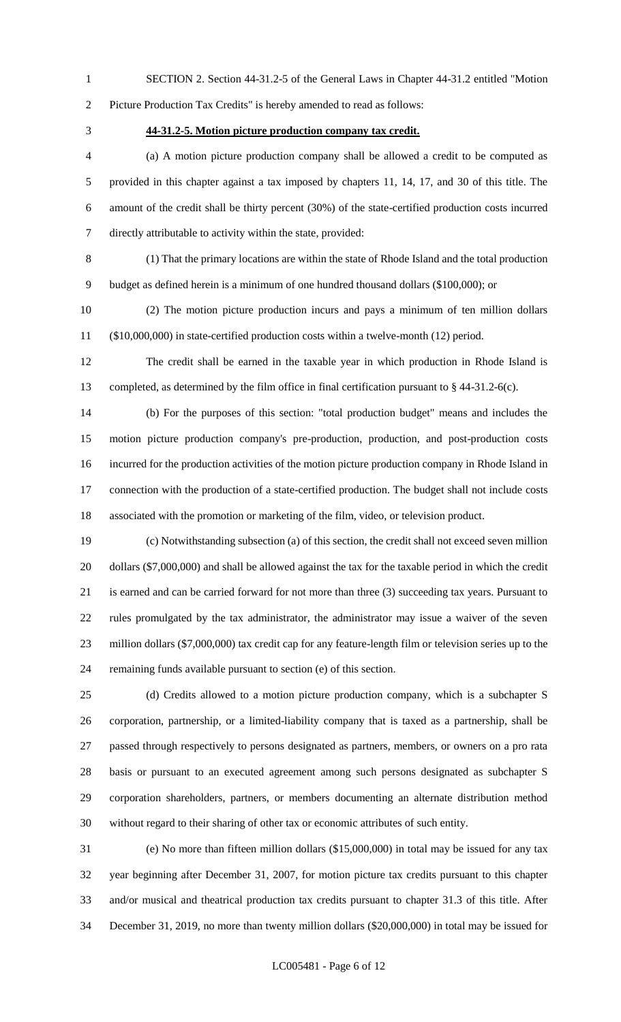SECTION 2. Section 44-31.2-5 of the General Laws in Chapter 44-31.2 entitled "Motion Picture Production Tax Credits" is hereby amended to read as follows:

#### **44-31.2-5. Motion picture production company tax credit.**

 (a) A motion picture production company shall be allowed a credit to be computed as provided in this chapter against a tax imposed by chapters 11, 14, 17, and 30 of this title. The amount of the credit shall be thirty percent (30%) of the state-certified production costs incurred directly attributable to activity within the state, provided:

 (1) That the primary locations are within the state of Rhode Island and the total production budget as defined herein is a minimum of one hundred thousand dollars (\$100,000); or

 (2) The motion picture production incurs and pays a minimum of ten million dollars (\$10,000,000) in state-certified production costs within a twelve-month (12) period.

 The credit shall be earned in the taxable year in which production in Rhode Island is completed, as determined by the film office in final certification pursuant to § 44-31.2-6(c).

 (b) For the purposes of this section: "total production budget" means and includes the motion picture production company's pre-production, production, and post-production costs incurred for the production activities of the motion picture production company in Rhode Island in connection with the production of a state-certified production. The budget shall not include costs associated with the promotion or marketing of the film, video, or television product.

 (c) Notwithstanding subsection (a) of this section, the credit shall not exceed seven million dollars (\$7,000,000) and shall be allowed against the tax for the taxable period in which the credit is earned and can be carried forward for not more than three (3) succeeding tax years. Pursuant to rules promulgated by the tax administrator, the administrator may issue a waiver of the seven million dollars (\$7,000,000) tax credit cap for any feature-length film or television series up to the remaining funds available pursuant to section (e) of this section.

 (d) Credits allowed to a motion picture production company, which is a subchapter S corporation, partnership, or a limited-liability company that is taxed as a partnership, shall be passed through respectively to persons designated as partners, members, or owners on a pro rata basis or pursuant to an executed agreement among such persons designated as subchapter S corporation shareholders, partners, or members documenting an alternate distribution method without regard to their sharing of other tax or economic attributes of such entity.

 (e) No more than fifteen million dollars (\$15,000,000) in total may be issued for any tax year beginning after December 31, 2007, for motion picture tax credits pursuant to this chapter and/or musical and theatrical production tax credits pursuant to chapter 31.3 of this title. After December 31, 2019, no more than twenty million dollars (\$20,000,000) in total may be issued for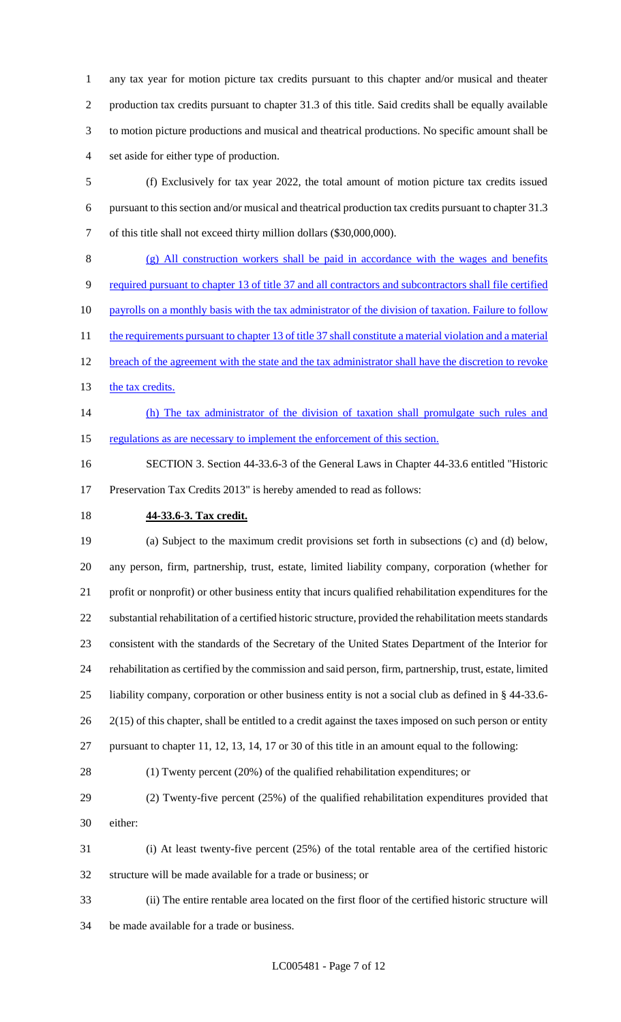any tax year for motion picture tax credits pursuant to this chapter and/or musical and theater production tax credits pursuant to chapter 31.3 of this title. Said credits shall be equally available to motion picture productions and musical and theatrical productions. No specific amount shall be set aside for either type of production.

 (f) Exclusively for tax year 2022, the total amount of motion picture tax credits issued pursuant to this section and/or musical and theatrical production tax credits pursuant to chapter 31.3 of this title shall not exceed thirty million dollars (\$30,000,000).

 (g) All construction workers shall be paid in accordance with the wages and benefits required pursuant to chapter 13 of title 37 and all contractors and subcontractors shall file certified 10 payrolls on a monthly basis with the tax administrator of the division of taxation. Failure to follow 11 the requirements pursuant to chapter 13 of title 37 shall constitute a material violation and a material 12 breach of the agreement with the state and the tax administrator shall have the discretion to revoke 13 the tax credits.

14 (h) The tax administrator of the division of taxation shall promulgate such rules and 15 regulations as are necessary to implement the enforcement of this section.

 SECTION 3. Section 44-33.6-3 of the General Laws in Chapter 44-33.6 entitled "Historic Preservation Tax Credits 2013" is hereby amended to read as follows:

# **44-33.6-3. Tax credit.**

 (a) Subject to the maximum credit provisions set forth in subsections (c) and (d) below, any person, firm, partnership, trust, estate, limited liability company, corporation (whether for profit or nonprofit) or other business entity that incurs qualified rehabilitation expenditures for the substantial rehabilitation of a certified historic structure, provided the rehabilitation meets standards consistent with the standards of the Secretary of the United States Department of the Interior for rehabilitation as certified by the commission and said person, firm, partnership, trust, estate, limited liability company, corporation or other business entity is not a social club as defined in § 44-33.6- 26 2(15) of this chapter, shall be entitled to a credit against the taxes imposed on such person or entity pursuant to chapter 11, 12, 13, 14, 17 or 30 of this title in an amount equal to the following:

(1) Twenty percent (20%) of the qualified rehabilitation expenditures; or

- (2) Twenty-five percent (25%) of the qualified rehabilitation expenditures provided that either:
- (i) At least twenty-five percent (25%) of the total rentable area of the certified historic structure will be made available for a trade or business; or
- (ii) The entire rentable area located on the first floor of the certified historic structure will be made available for a trade or business.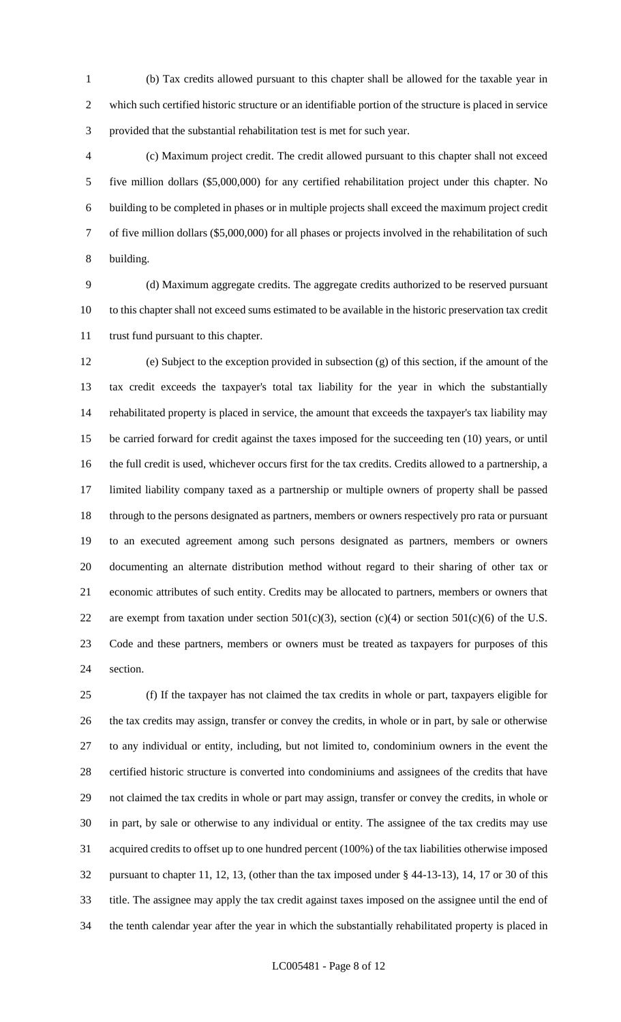(b) Tax credits allowed pursuant to this chapter shall be allowed for the taxable year in which such certified historic structure or an identifiable portion of the structure is placed in service provided that the substantial rehabilitation test is met for such year.

 (c) Maximum project credit. The credit allowed pursuant to this chapter shall not exceed five million dollars (\$5,000,000) for any certified rehabilitation project under this chapter. No building to be completed in phases or in multiple projects shall exceed the maximum project credit of five million dollars (\$5,000,000) for all phases or projects involved in the rehabilitation of such building.

 (d) Maximum aggregate credits. The aggregate credits authorized to be reserved pursuant to this chapter shall not exceed sums estimated to be available in the historic preservation tax credit trust fund pursuant to this chapter.

 (e) Subject to the exception provided in subsection (g) of this section, if the amount of the tax credit exceeds the taxpayer's total tax liability for the year in which the substantially rehabilitated property is placed in service, the amount that exceeds the taxpayer's tax liability may be carried forward for credit against the taxes imposed for the succeeding ten (10) years, or until the full credit is used, whichever occurs first for the tax credits. Credits allowed to a partnership, a limited liability company taxed as a partnership or multiple owners of property shall be passed through to the persons designated as partners, members or owners respectively pro rata or pursuant to an executed agreement among such persons designated as partners, members or owners documenting an alternate distribution method without regard to their sharing of other tax or economic attributes of such entity. Credits may be allocated to partners, members or owners that 22 are exempt from taxation under section  $501(c)(3)$ , section  $(c)(4)$  or section  $501(c)(6)$  of the U.S. Code and these partners, members or owners must be treated as taxpayers for purposes of this section.

 (f) If the taxpayer has not claimed the tax credits in whole or part, taxpayers eligible for the tax credits may assign, transfer or convey the credits, in whole or in part, by sale or otherwise to any individual or entity, including, but not limited to, condominium owners in the event the certified historic structure is converted into condominiums and assignees of the credits that have not claimed the tax credits in whole or part may assign, transfer or convey the credits, in whole or in part, by sale or otherwise to any individual or entity. The assignee of the tax credits may use acquired credits to offset up to one hundred percent (100%) of the tax liabilities otherwise imposed pursuant to chapter 11, 12, 13, (other than the tax imposed under § 44-13-13), 14, 17 or 30 of this title. The assignee may apply the tax credit against taxes imposed on the assignee until the end of the tenth calendar year after the year in which the substantially rehabilitated property is placed in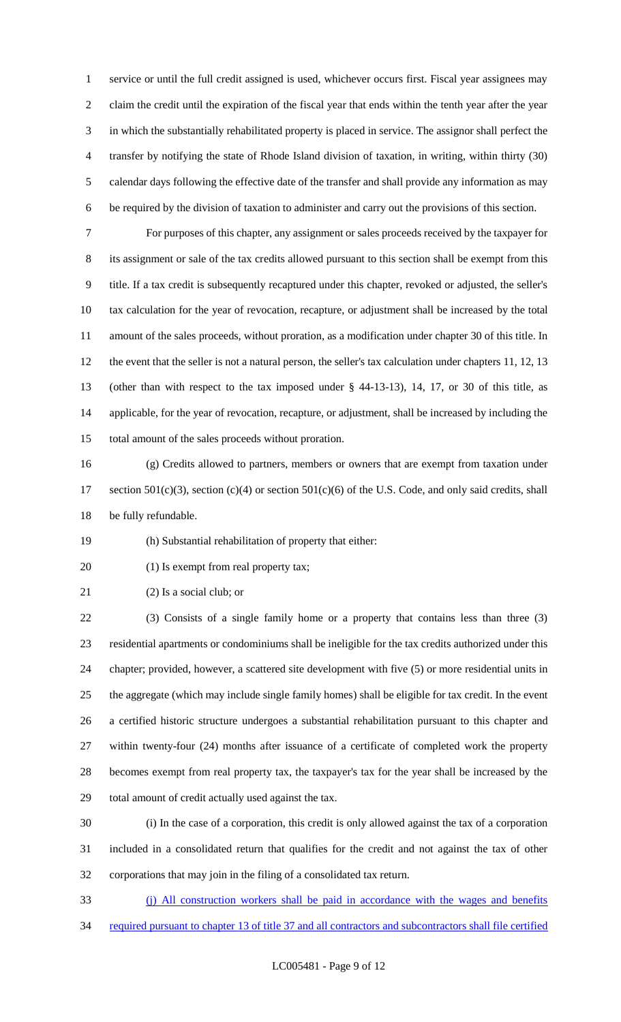service or until the full credit assigned is used, whichever occurs first. Fiscal year assignees may claim the credit until the expiration of the fiscal year that ends within the tenth year after the year in which the substantially rehabilitated property is placed in service. The assignor shall perfect the transfer by notifying the state of Rhode Island division of taxation, in writing, within thirty (30) calendar days following the effective date of the transfer and shall provide any information as may be required by the division of taxation to administer and carry out the provisions of this section.

 For purposes of this chapter, any assignment or sales proceeds received by the taxpayer for its assignment or sale of the tax credits allowed pursuant to this section shall be exempt from this title. If a tax credit is subsequently recaptured under this chapter, revoked or adjusted, the seller's tax calculation for the year of revocation, recapture, or adjustment shall be increased by the total amount of the sales proceeds, without proration, as a modification under chapter 30 of this title. In the event that the seller is not a natural person, the seller's tax calculation under chapters 11, 12, 13 (other than with respect to the tax imposed under § 44-13-13), 14, 17, or 30 of this title, as applicable, for the year of revocation, recapture, or adjustment, shall be increased by including the total amount of the sales proceeds without proration.

 (g) Credits allowed to partners, members or owners that are exempt from taxation under 17 section 501(c)(3), section (c)(4) or section 501(c)(6) of the U.S. Code, and only said credits, shall be fully refundable.

(h) Substantial rehabilitation of property that either:

20 (1) Is exempt from real property tax;

(2) Is a social club; or

 (3) Consists of a single family home or a property that contains less than three (3) residential apartments or condominiums shall be ineligible for the tax credits authorized under this chapter; provided, however, a scattered site development with five (5) or more residential units in the aggregate (which may include single family homes) shall be eligible for tax credit. In the event a certified historic structure undergoes a substantial rehabilitation pursuant to this chapter and within twenty-four (24) months after issuance of a certificate of completed work the property becomes exempt from real property tax, the taxpayer's tax for the year shall be increased by the total amount of credit actually used against the tax.

 (i) In the case of a corporation, this credit is only allowed against the tax of a corporation included in a consolidated return that qualifies for the credit and not against the tax of other corporations that may join in the filing of a consolidated tax return.

(j) All construction workers shall be paid in accordance with the wages and benefits

34 required pursuant to chapter 13 of title 37 and all contractors and subcontractors shall file certified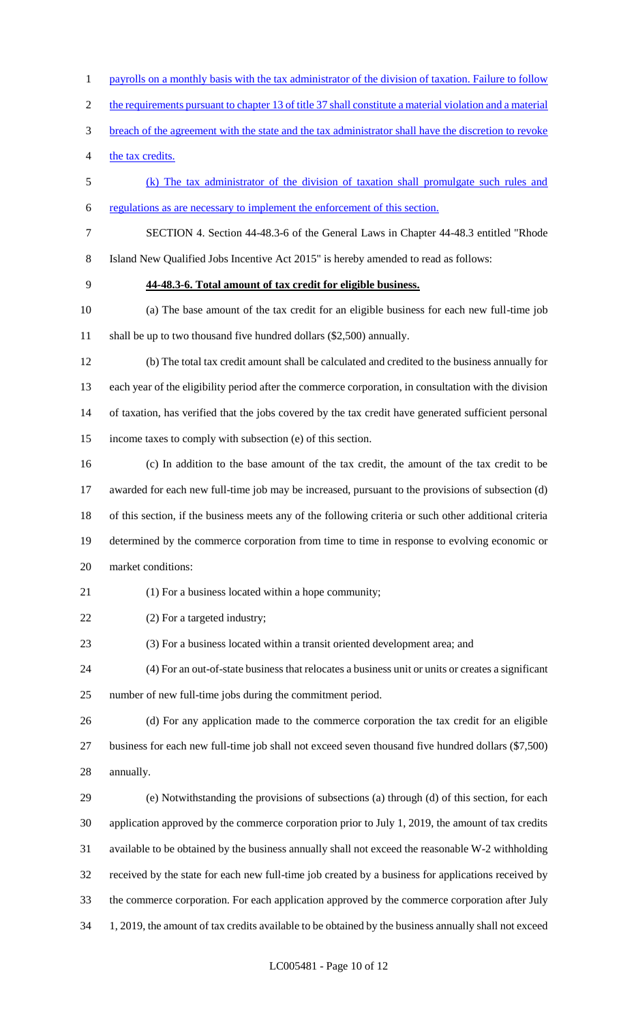- 1 payrolls on a monthly basis with the tax administrator of the division of taxation. Failure to follow
- 2 the requirements pursuant to chapter 13 of title 37 shall constitute a material violation and a material
- breach of the agreement with the state and the tax administrator shall have the discretion to revoke
- the tax credits.
- (k) The tax administrator of the division of taxation shall promulgate such rules and
- regulations as are necessary to implement the enforcement of this section.
- SECTION 4. Section 44-48.3-6 of the General Laws in Chapter 44-48.3 entitled "Rhode
- Island New Qualified Jobs Incentive Act 2015" is hereby amended to read as follows:
- 
- **44-48.3-6. Total amount of tax credit for eligible business.**
- (a) The base amount of the tax credit for an eligible business for each new full-time job shall be up to two thousand five hundred dollars (\$2,500) annually.
- (b) The total tax credit amount shall be calculated and credited to the business annually for each year of the eligibility period after the commerce corporation, in consultation with the division of taxation, has verified that the jobs covered by the tax credit have generated sufficient personal income taxes to comply with subsection (e) of this section.
- (c) In addition to the base amount of the tax credit, the amount of the tax credit to be awarded for each new full-time job may be increased, pursuant to the provisions of subsection (d) of this section, if the business meets any of the following criteria or such other additional criteria determined by the commerce corporation from time to time in response to evolving economic or market conditions:
- (1) For a business located within a hope community;
- (2) For a targeted industry;
- (3) For a business located within a transit oriented development area; and
- (4) For an out-of-state business that relocates a business unit or units or creates a significant number of new full-time jobs during the commitment period.
- (d) For any application made to the commerce corporation the tax credit for an eligible business for each new full-time job shall not exceed seven thousand five hundred dollars (\$7,500) annually.
- (e) Notwithstanding the provisions of subsections (a) through (d) of this section, for each application approved by the commerce corporation prior to July 1, 2019, the amount of tax credits available to be obtained by the business annually shall not exceed the reasonable W-2 withholding received by the state for each new full-time job created by a business for applications received by the commerce corporation. For each application approved by the commerce corporation after July 1, 2019, the amount of tax credits available to be obtained by the business annually shall not exceed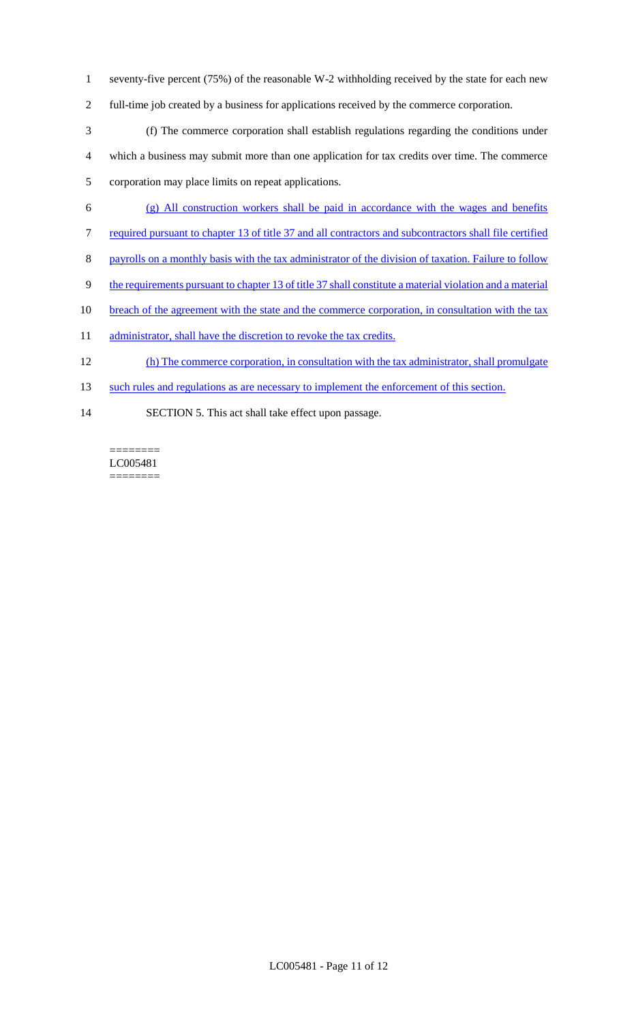- 1 seventy-five percent (75%) of the reasonable W-2 withholding received by the state for each new
- 2 full-time job created by a business for applications received by the commerce corporation.
- 3 (f) The commerce corporation shall establish regulations regarding the conditions under 4 which a business may submit more than one application for tax credits over time. The commerce 5 corporation may place limits on repeat applications.
- 6 (g) All construction workers shall be paid in accordance with the wages and benefits
- 7 required pursuant to chapter 13 of title 37 and all contractors and subcontractors shall file certified
- 8 payrolls on a monthly basis with the tax administrator of the division of taxation. Failure to follow
- 9 the requirements pursuant to chapter 13 of title 37 shall constitute a material violation and a material
- 10 breach of the agreement with the state and the commerce corporation, in consultation with the tax
- 11 administrator, shall have the discretion to revoke the tax credits.
- 12 (h) The commerce corporation, in consultation with the tax administrator, shall promulgate
- 13 such rules and regulations as are necessary to implement the enforcement of this section.
- 14 SECTION 5. This act shall take effect upon passage.

======== LC005481 ========